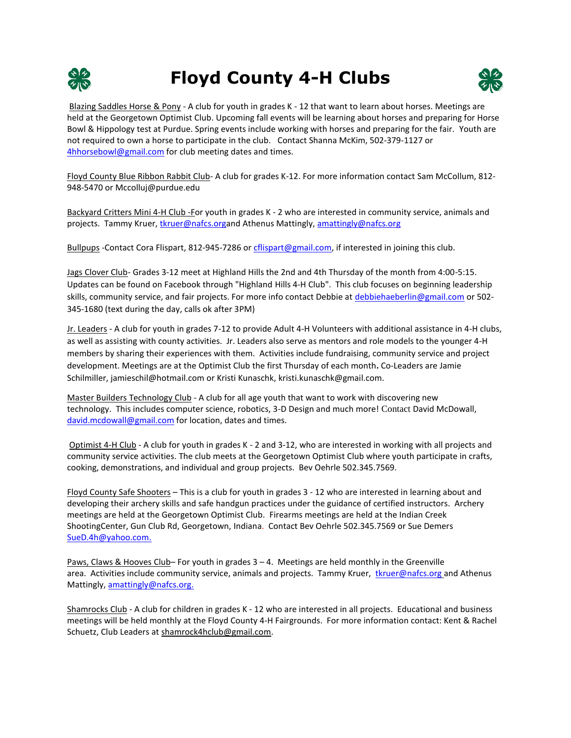

## **Floyd County 4-H Clubs**



Blazing Saddles Horse & Pony - A club for youth in grades K - 12 that want to learn about horses. Meetings are held at the Georgetown Optimist Club. Upcoming fall events will be learning about horses and preparing for Horse Bowl & Hippology test at Purdue. Spring events include working with horses and preparing for the fair. Youth are not required to own a horse to participate in the club. Contact Shanna McKim, 502-379-1127 or [4hhorsebowl@gmail.com](mailto:4hhorsebowl@gmail.com) for club meeting dates and times.

Floyd County Blue Ribbon Rabbit Club- A club for grades K-12. For more information contact Sam McCollum, 812- 948-5470 or Mccolluj@purdue.edu

Backyard Critters Mini 4-H Club -For youth in grades K - 2 who are interested in community service, animals and projects. Tammy Kruer, [tkruer@nafcs.orga](mailto:tkruer@nafcs.org)nd Athenus Mattingly, [amattingly@nafcs.org](mailto:amattingly@nafcs.org)

Bullpups -Contact Cora Flispart, 812-945-7286 or [cflispart@gmail.com,](mailto:cflispart@gmail.com) if interested in joining this club.

Jags Clover Club- Grades 3-12 meet at Highland Hills the 2nd and 4th Thursday of the month from 4:00-5:15. Updates can be found on Facebook through "Highland Hills 4-H Club". This club focuses on beginning leadership skills, community service, and fair projects. For more info contact Debbie a[t debbiehaeberlin@gmail.com](mailto:debbiehaeberlin@gmail.com) or 502-345-1680 (text during the day, calls ok after 3PM)

Jr. Leaders - A club for youth in grades 7-12 to provide Adult 4-H Volunteers with additional assistance in 4-H clubs, as well as assisting with county activities. Jr. Leaders also serve as mentors and role models to the younger 4-H members by sharing their experiences with them. Activities include fundraising, community service and project development. Meetings are at the Optimist Club the first Thursday of each month**.** Co-Leaders are Jamie Schilmiller, jamieschil@hotmail.com or Kristi Kunaschk, kristi.kunaschk@gmail.com.

Master Builders Technology Club - A club for all age youth that want to work with discovering new technology. This includes computer science, robotics, 3-D Design and much more! Contact David McDowall, [david.mcdowall@gmail.com](mailto:david.mcdowall@gmail.com) for location, dates and times.

Optimist 4-H Club - A club for youth in grades K - 2 and 3-12, who are interested in working with all projects and community service activities. The club meets at the Georgetown Optimist Club where youth participate in crafts, cooking, demonstrations, and individual and group projects. Bev Oehrle 502.345.7569.

Floyd County Safe Shooters – This is a club for youth in grades 3 - 12 who are interested in learning about and developing their archery skills and safe handgun practices under the guidance of certified instructors. Archery meetings are held at the Georgetown Optimist Club. Firearms meetings are held at the Indian Creek ShootingCenter, Gun Club Rd, Georgetown, Indiana. Contact Bev Oehrle 502.345.7569 or Sue Demers [SueD.4h@yahoo.com.](mailto:SueD.4h@yahoo.com)

Paws, Claws & Hooves Club– For youth in grades 3 – 4. Meetings are held monthly in the Greenville area. Activities include community service, animals and projects. Tammy Kruer, [tkruer@nafcs.org](mailto:tkruer@nafcs.org) and Athenus Mattingly, [amattingly@nafcs.org.](mailto:amattingly@nafcs.org)

Shamrocks Club - A club for children in grades K - 12 who are interested in all projects. Educational and business meetings will be held monthly at the Floyd County 4-H Fairgrounds. For more information contact: Kent & Rachel Schuetz, Club Leaders at shamrock4hclub@gmail.com.